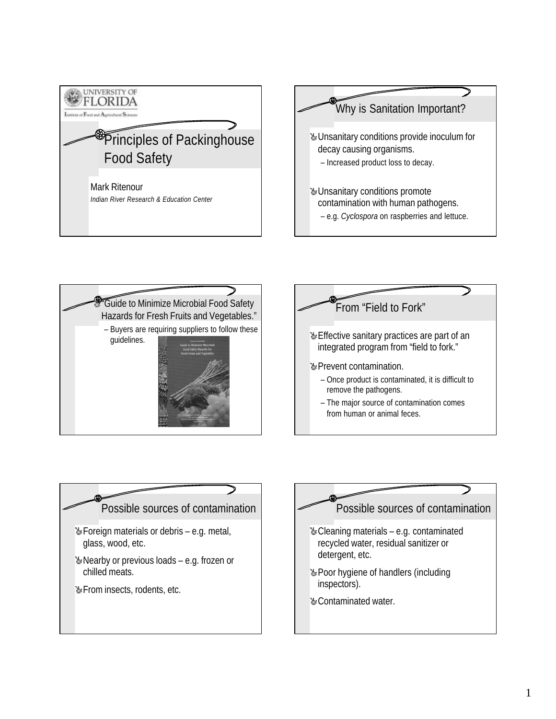







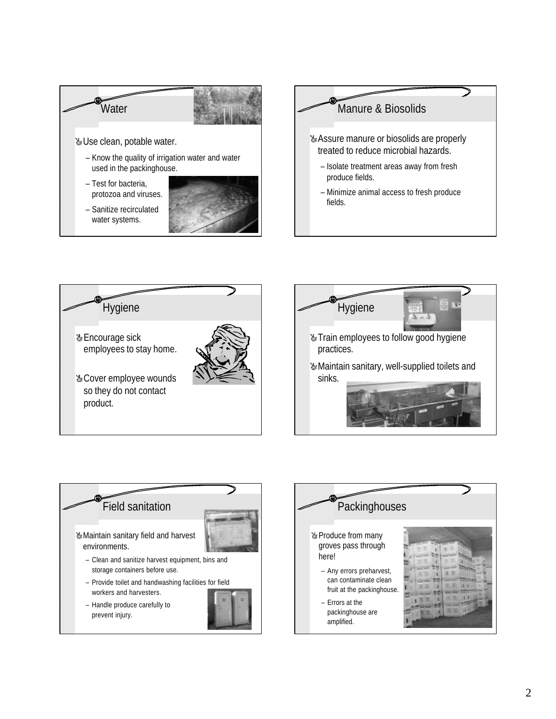









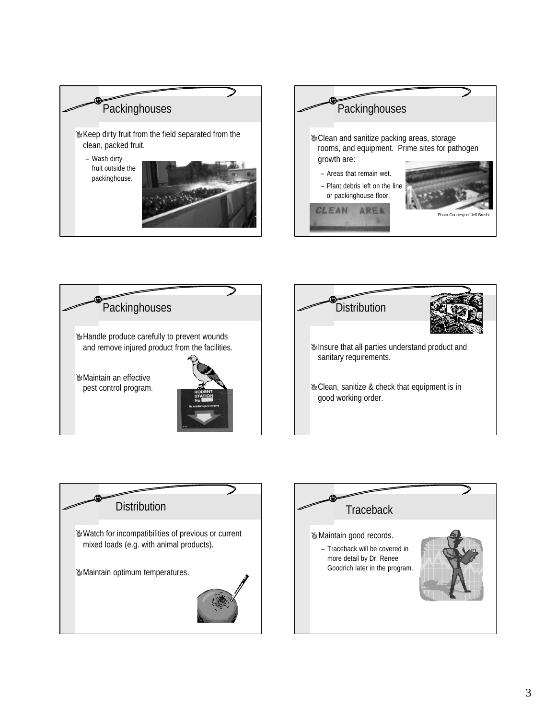